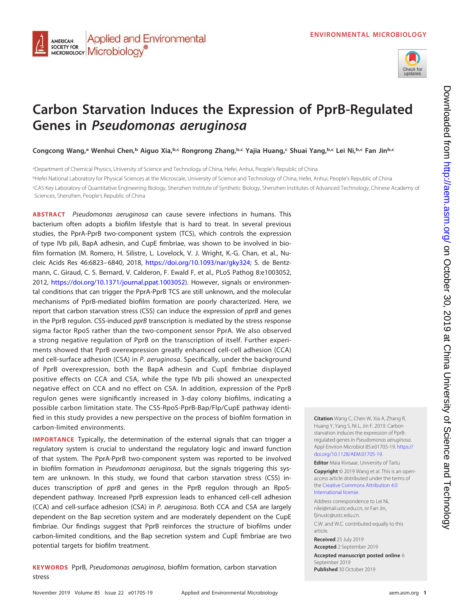

# **Carbon Starvation Induces the Expression of PprB-Regulated Genes in Pseudomonas aeruginosa**

**Congcong Wang,a Wenhui Chen,b Aiguo Xia,b,c Rongrong Zhang,b,c Yajia Huang,c Shuai Yang,b,c Lei Ni,b,c Fan Jinb,c**

a Department of Chemical Physics, University of Science and Technology of China, Hefei, Anhui, People's Republic of China <sup>b</sup>Hefei National Laboratory for Physical Sciences at the Microscale, University of Science and Technology of China, Hefei, Anhui, People's Republic of China c CAS Key Laboratory of Quantitative Engineering Biology, Shenzhen Institute of Synthetic Biology, Shenzhen Institutes of Advanced Technology, Chinese Academy of Sciences, Shenzhen, People's Republic of China

**ABSTRACT** Pseudomonas aeruginosa can cause severe infections in humans. This bacterium often adopts a biofilm lifestyle that is hard to treat. In several previous studies, the PprA-PprB two-component system (TCS), which controls the expression of type IVb pili, BapA adhesin, and CupE fimbriae, was shown to be involved in biofilm formation (M. Romero, H. Silistre, L. Lovelock, V. J. Wright, K.-G. Chan, et al., Nucleic Acids Res 46:6823– 6840, 2018, [https://doi.org/10.1093/nar/gky324;](https://doi.org/10.1093/nar/gky324) S. de Bentzmann, C. Giraud, C. S. Bernard, V. Calderon, F. Ewald F, et al., PLoS Pathog 8:e1003052, 2012, [https://doi.org/10.1371/journal.ppat.1003052\)](https://doi.org/10.1371/journal.ppat.1003052). However, signals or environmental conditions that can trigger the PprA-PprB TCS are still unknown, and the molecular mechanisms of PprB-mediated biofilm formation are poorly characterized. Here, we report that carbon starvation stress (CSS) can induce the expression of *pprB* and genes in the PprB regulon. CSS-induced *pprB* transcription is mediated by the stress response sigma factor RpoS rather than the two-component sensor PprA. We also observed a strong negative regulation of PprB on the transcription of itself. Further experiments showed that PprB overexpression greatly enhanced cell-cell adhesion (CCA) and cell-surface adhesion (CSA) in P. aeruginosa. Specifically, under the background of PprB overexpression, both the BapA adhesin and CupE fimbriae displayed positive effects on CCA and CSA, while the type IVb pili showed an unexpected negative effect on CCA and no effect on CSA. In addition, expression of the PprB regulon genes were significantly increased in 3-day colony biofilms, indicating a possible carbon limitation state. The CSS-RpoS-PprB-Bap/Flp/CupE pathway identified in this study provides a new perspective on the process of biofilm formation in carbon-limited environments.

**IMPORTANCE** Typically, the determination of the external signals that can trigger a regulatory system is crucial to understand the regulatory logic and inward function of that system. The PprA-PprB two-component system was reported to be involved in biofilm formation in Pseudomonas aeruginosa, but the signals triggering this system are unknown. In this study, we found that carbon starvation stress (CSS) induces transcription of *pprB* and genes in the PprB regulon through an RpoSdependent pathway. Increased PprB expression leads to enhanced cell-cell adhesion (CCA) and cell-surface adhesion (CSA) in P. aeruginosa. Both CCA and CSA are largely dependent on the Bap secretion system and are moderately dependent on the CupE fimbriae. Our findings suggest that PprB reinforces the structure of biofilms under carbon-limited conditions, and the Bap secretion system and CupE fimbriae are two potential targets for biofilm treatment.

**KEYWORDS** PprB, Pseudomonas aeruginosa, biofilm formation, carbon starvation stress

**Citation** Wang C, Chen W, Xia A, Zhang R, Huang Y, Yang S, Ni L, Jin F. 2019. Carbon starvation induces the expression of PprBregulated genes in Pseudomonas aeruginosa. Appl Environ Microbiol 85:e01705-19. [https://](https://doi.org/10.1128/AEM.01705-19) [doi.org/10.1128/AEM.01705-19.](https://doi.org/10.1128/AEM.01705-19)

**Editor** Maia Kivisaar, University of Tartu **Copyright** © 2019 Wang et al. This is an openaccess article distributed under the terms of the [Creative Commons Attribution 4.0](https://creativecommons.org/licenses/by/4.0/) [International license.](https://creativecommons.org/licenses/by/4.0/)

Address correspondence to Lei Ni, [nilei@mail.ustc.edu.cn,](mailto:nilei@mail.ustc.edu.cn) or Fan Jin, fijnustc@ustc.edu.cn C.W. and W.C. contributed equally to this article.

**Received** 25 July 2019

**Accepted** 2 September 2019 **Accepted manuscript posted online** 6 September 2019 **Published** 30 October 2019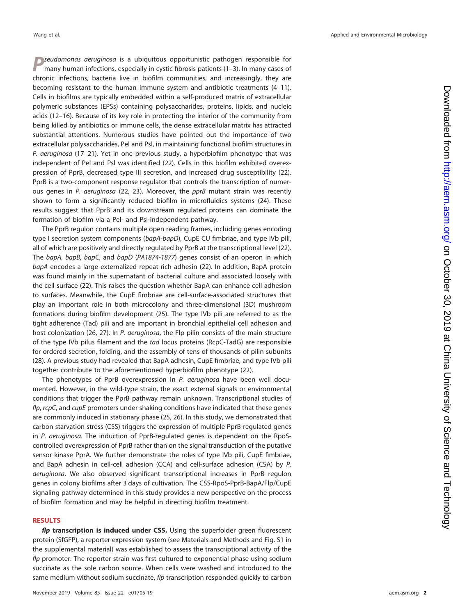*P*seudomonas aeruginosa is a ubiquitous opportunistic pathogen responsible for many human infections, especially in cystic fibrosis patients [\(1](#page-15-0)[–](#page-15-1)[3\)](#page-15-2). In many cases of chronic infections, bacteria live in biofilm communities, and increasingly, they are becoming resistant to the human immune system and antibiotic treatments [\(4](#page-15-3)[–](#page-15-4)[11\)](#page-15-5). Cells in biofilms are typically embedded within a self-produced matrix of extracellular polymeric substances (EPSs) containing polysaccharides, proteins, lipids, and nucleic acids [\(12](#page-15-6)[–](#page-15-7)[16\)](#page-15-8). Because of its key role in protecting the interior of the community from being killed by antibiotics or immune cells, the dense extracellular matrix has attracted substantial attentions. Numerous studies have pointed out the importance of two extracellular polysaccharides, Pel and Psl, in maintaining functional biofilm structures in P. aeruginosa [\(17](#page-15-9)[–](#page-15-10)[21\)](#page-15-11). Yet in one previous study, a hyperbiofilm phenotype that was independent of Pel and Psl was identified [\(22\)](#page-16-0). Cells in this biofilm exhibited overexpression of PprB, decreased type III secretion, and increased drug susceptibility [\(22\)](#page-16-0). PprB is a two-component response regulator that controls the transcription of numer-ous genes in P. aeruginosa [\(22,](#page-16-0) [23\)](#page-16-1). Moreover, the pprB mutant strain was recently shown to form a significantly reduced biofilm in microfluidics systems [\(24\)](#page-16-2). These results suggest that PprB and its downstream regulated proteins can dominate the formation of biofilm via a Pel- and Psl-independent pathway.

The PprB regulon contains multiple open reading frames, including genes encoding type I secretion system components (bapA-bapD), CupE CU fimbriae, and type IVb pili, all of which are positively and directly regulated by PprB at the transcriptional level [\(22\)](#page-16-0). The bapA, bapB, bapC, and bapD (PA1874-1877) genes consist of an operon in which bapA encodes a large externalized repeat-rich adhesin [\(22\)](#page-16-0). In addition, BapA protein was found mainly in the supernatant of bacterial culture and associated loosely with the cell surface [\(22\)](#page-16-0). This raises the question whether BapA can enhance cell adhesion to surfaces. Meanwhile, the CupE fimbriae are cell-surface-associated structures that play an important role in both microcolony and three-dimensional (3D) mushroom formations during biofilm development [\(25\)](#page-16-3). The type IVb pili are referred to as the tight adherence (Tad) pili and are important in bronchial epithelial cell adhesion and host colonization [\(26,](#page-16-4) [27\)](#page-16-5). In P. aeruginosa, the Flp pilin consists of the main structure of the type IVb pilus filament and the tad locus proteins (RcpC-TadG) are responsible for ordered secretion, folding, and the assembly of tens of thousands of pilin subunits [\(28\)](#page-16-6). A previous study had revealed that BapA adhesin, CupE fimbriae, and type IVb pili together contribute to the aforementioned hyperbiofilm phenotype [\(22\)](#page-16-0).

The phenotypes of PprB overexpression in P. aeruginosa have been well documented. However, in the wild-type strain, the exact external signals or environmental conditions that trigger the PprB pathway remain unknown. Transcriptional studies of flp,  $rcpC$ , and  $cupE$  promoters under shaking conditions have indicated that these genes are commonly induced in stationary phase [\(25,](#page-16-3) [26\)](#page-16-4). In this study, we demonstrated that carbon starvation stress (CSS) triggers the expression of multiple PprB-regulated genes in P. aeruginosa. The induction of PprB-regulated genes is dependent on the RpoScontrolled overexpression of PprB rather than on the signal transduction of the putative sensor kinase PprA. We further demonstrate the roles of type IVb pili, CupE fimbriae, and BapA adhesin in cell-cell adhesion (CCA) and cell-surface adhesion (CSA) by P. aeruginosa. We also observed significant transcriptional increases in PprB regulon genes in colony biofilms after 3 days of cultivation. The CSS-RpoS-PprB-BapA/Flp/CupE signaling pathway determined in this study provides a new perspective on the process of biofilm formation and may be helpful in directing biofilm treatment.

## **RESULTS**

*flp* **transcription is induced under CSS.** Using the superfolder green fluorescent protein (SfGFP), a reporter expression system (see Materials and Methods and Fig. S1 in the supplemental material) was established to assess the transcriptional activity of the flp promoter. The reporter strain was first cultured to exponential phase using sodium succinate as the sole carbon source. When cells were washed and introduced to the same medium without sodium succinate, flp transcription responded quickly to carbon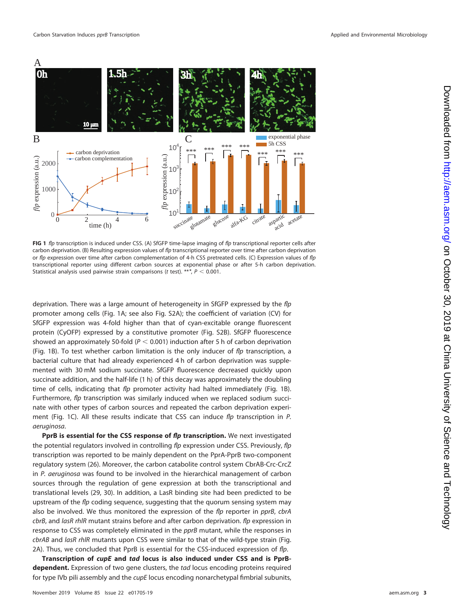

<span id="page-2-0"></span>**FIG 1** flp transcription is induced under CSS. (A) SfGFP time-lapse imaging of flp transcriptional reporter cells after carbon deprivation. (B) Resulting expression values of flp transcriptional reporter over time after carbon deprivation or flp expression over time after carbon complementation of 4-h CSS pretreated cells. (C) Expression values of flp transcriptional reporter using different carbon sources at exponential phase or after 5-h carbon deprivation. Statistical analysis used pairwise strain comparisons (t test). \*\*\*,  $P < 0.001$ .

deprivation. There was a large amount of heterogeneity in SfGFP expressed by the flp promoter among cells [\(Fig. 1A;](#page-2-0) see also Fig. S2A); the coefficient of variation (CV) for SfGFP expression was 4-fold higher than that of cyan-excitable orange fluorescent protein (CyOFP) expressed by a constitutive promoter (Fig. S2B). SfGFP fluorescence showed an approximately 50-fold ( $P < 0.001$ ) induction after 5 h of carbon deprivation [\(Fig. 1B\)](#page-2-0). To test whether carbon limitation is the only inducer of  $flp$  transcription, a bacterial culture that had already experienced 4 h of carbon deprivation was supplemented with 30 mM sodium succinate. SfGFP fluorescence decreased quickly upon succinate addition, and the half-life (1 h) of this decay was approximately the doubling time of cells, indicating that  $f/p$  promoter activity had halted immediately [\(Fig. 1B\)](#page-2-0). Furthermore, flp transcription was similarly induced when we replaced sodium succinate with other types of carbon sources and repeated the carbon deprivation experi-ment [\(Fig. 1C\)](#page-2-0). All these results indicate that CSS can induce flp transcription in P. aeruginosa.

**PprB is essential for the CSS response of** *flp* **transcription.** We next investigated the potential regulators involved in controlling flp expression under CSS. Previously, flp transcription was reported to be mainly dependent on the PprA-PprB two-component regulatory system [\(26\)](#page-16-4). Moreover, the carbon catabolite control system CbrAB-Crc-CrcZ in P. aeruginosa was found to be involved in the hierarchical management of carbon sources through the regulation of gene expression at both the transcriptional and translational levels [\(29,](#page-16-7) [30\)](#page-16-8). In addition, a LasR binding site had been predicted to be upstream of the flp coding sequence, suggesting that the quorum sensing system may also be involved. We thus monitored the expression of the flp reporter in pprB, cbrA cbrB, and lasR rhlR mutant strains before and after carbon deprivation. flp expression in response to CSS was completely eliminated in the *pprB* mutant, while the responses in cbrAB and lasR rhIR mutants upon CSS were similar to that of the wild-type strain [\(Fig.](#page-3-0) [2A\)](#page-3-0). Thus, we concluded that PprB is essential for the CSS-induced expression of  $flp$ .

**Transcription of** *cupE* **and** *tad* **locus is also induced under CSS and is PprBdependent.** Expression of two gene clusters, the tad locus encoding proteins required for type IVb pili assembly and the *cupE* locus encoding nonarchetypal fimbrial subunits,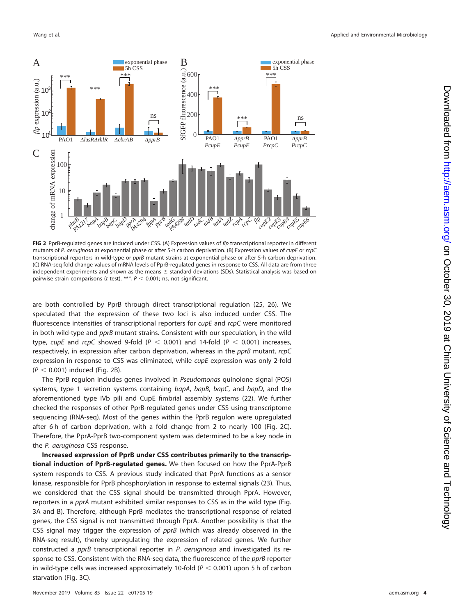

<span id="page-3-0"></span>**FIG 2** PprB-regulated genes are induced under CSS. (A) Expression values of flp transcriptional reporter in different mutants of P. aeruginosa at exponential phase or after 5-h carbon deprivation. (B) Expression values of cupE or rcpC transcriptional reporters in wild-type or pprB mutant strains at exponential phase or after 5-h carbon deprivation. (C) RNA-seq fold change values of mRNA levels of PprB-regulated genes in response to CSS. All data are from three independent experiments and shown as the means  $\pm$  standard deviations (SDs). Statistical analysis was based on pairwise strain comparisons (t test).  $***$ ,  $P < 0.001$ ; ns, not significant.

are both controlled by PprB through direct transcriptional regulation [\(25,](#page-16-3) [26\)](#page-16-4). We speculated that the expression of these two loci is also induced under CSS. The fluorescence intensities of transcriptional reporters for cupE and rcpC were monitored in both wild-type and pprB mutant strains. Consistent with our speculation, in the wild type, cupE and rcpC showed 9-fold (P  $<$  0.001) and 14-fold (P  $<$  0.001) increases, respectively, in expression after carbon deprivation, whereas in the pprB mutant, rcpC expression in response to CSS was eliminated, while cupE expression was only 2-fold  $(P < 0.001)$  induced [\(Fig. 2B\)](#page-3-0).

The PprB regulon includes genes involved in Pseudomonas quinolone signal (PQS) systems, type 1 secretion systems containing bapA, bapB, bapC, and bapD, and the aforementioned type IVb pili and CupE fimbrial assembly systems [\(22\)](#page-16-0). We further checked the responses of other PprB-regulated genes under CSS using transcriptome sequencing (RNA-seq). Most of the genes within the PprB regulon were upregulated after 6 h of carbon deprivation, with a fold change from 2 to nearly 100 [\(Fig. 2C\)](#page-3-0). Therefore, the PprA-PprB two-component system was determined to be a key node in the P. aeruginosa CSS response.

**Increased expression of PprB under CSS contributes primarily to the transcriptional induction of PprB-regulated genes.** We then focused on how the PprA-PprB system responds to CSS. A previous study indicated that PprA functions as a sensor kinase, responsible for PprB phosphorylation in response to external signals [\(23\)](#page-16-1). Thus, we considered that the CSS signal should be transmitted through PprA. However, reporters in a pprA mutant exhibited similar responses to CSS as in the wild type [\(Fig.](#page-4-0) [3A](#page-4-0) and [B\)](#page-4-0). Therefore, although PprB mediates the transcriptional response of related genes, the CSS signal is not transmitted through PprA. Another possibility is that the CSS signal may trigger the expression of  $pprB$  (which was already observed in the RNA-seq result), thereby upregulating the expression of related genes. We further constructed a pprB transcriptional reporter in P. aeruginosa and investigated its response to CSS. Consistent with the RNA-seq data, the fluorescence of the pprB reporter in wild-type cells was increased approximately 10-fold ( $P < 0.001$ ) upon 5 h of carbon starvation [\(Fig. 3C\)](#page-4-0).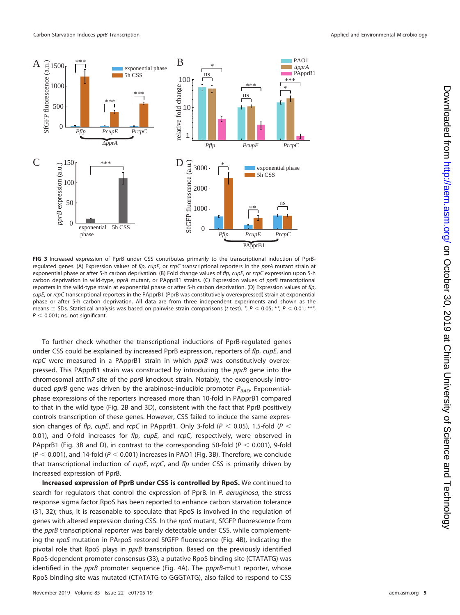

<span id="page-4-0"></span>**FIG 3** Increased expression of PprB under CSS contributes primarily to the transcriptional induction of PprBregulated genes. (A) Expression values of flp, cupE, or rcpC transcriptional reporters in the pprA mutant strain at exponential phase or after 5-h carbon deprivation. (B) Fold change values of flp, cupE, or rcpC expression upon 5-h carbon deprivation in wild-type, pprA mutant, or PApprB1 strains. (C) Expression values of pprB transcriptional reporters in the wild-type strain at exponential phase or after 5-h carbon deprivation. (D) Expression values of flp, cupE, or rcpC transcriptional reporters in the PApprB1 (PprB was constitutively overexpressed) strain at exponential phase or after 5-h carbon deprivation. All data are from three independent experiments and shown as the means  $\pm$  SDs. Statistical analysis was based on pairwise strain comparisons (t test).  $*$ ,  $P$  < 0.05;  $*$ ,  $P$  < 0.01;  $***$ ,  $P < 0.001$ ; ns, not significant.

To further check whether the transcriptional inductions of PprB-regulated genes under CSS could be explained by increased PprB expression, reporters of flp, cupE, and rcpC were measured in a PApprB1 strain in which pprB was constitutively overexpressed. This PApprB1 strain was constructed by introducing the pprB gene into the chromosomal attTn7 site of the pprB knockout strain. Notably, the exogenously introduced pprB gene was driven by the arabinose-inducible promoter  $P_{BAD}$ . Exponentialphase expressions of the reporters increased more than 10-fold in PApprB1 compared to that in the wild type [\(Fig. 2B](#page-3-0) and [3D\)](#page-4-0), consistent with the fact that PprB positively controls transcription of these genes. However, CSS failed to induce the same expression changes of flp, cupE, and rcpC in PApprB1. Only 3-fold (P  $<$  0.05), 1.5-fold (P  $<$ 0.01), and 0-fold increases for  $flp$ ,  $cupE$ , and  $rcpC$ , respectively, were observed in PApprB1 [\(Fig. 3B](#page-4-0) and [D\)](#page-4-0), in contrast to the corresponding 50-fold ( $P < 0.001$ ), 9-fold ( $P < 0.001$ ), and 14-fold ( $P < 0.001$ ) increases in PAO1 [\(Fig. 3B\)](#page-4-0). Therefore, we conclude that transcriptional induction of  $cupE$ , rcpC, and flp under CSS is primarily driven by increased expression of PprB.

**Increased expression of PprB under CSS is controlled by RpoS.** We continued to search for regulators that control the expression of PprB. In P. aeruginosa, the stress response sigma factor RpoS has been reported to enhance carbon starvation tolerance [\(31,](#page-16-9) [32\)](#page-16-10); thus, it is reasonable to speculate that RpoS is involved in the regulation of genes with altered expression during CSS. In the rpoS mutant, SfGFP fluorescence from the *pprB* transcriptional reporter was barely detectable under CSS, while complementing the rpoS mutation in PArpoS restored SfGFP fluorescence [\(Fig. 4B\)](#page-5-0), indicating the pivotal role that RpoS plays in *pprB* transcription. Based on the previously identified RpoS-dependent promoter consensus [\(33\)](#page-16-11), a putative RpoS binding site (CTATATG) was identified in the pprB promoter sequence [\(Fig. 4A\)](#page-5-0). The ppprB-mut1 reporter, whose RpoS binding site was mutated (CTATATG to GGGTATG), also failed to respond to CSS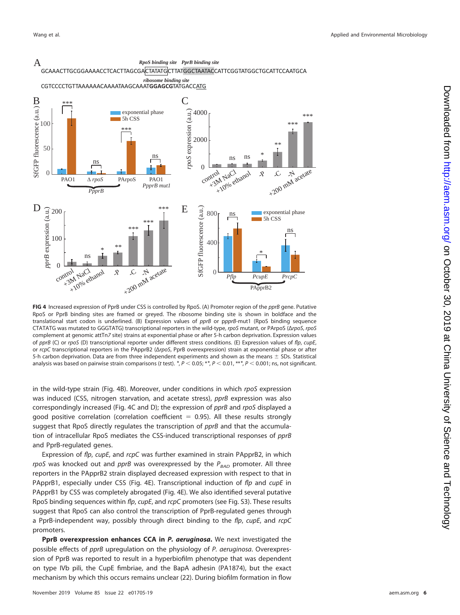

<span id="page-5-0"></span>**FIG 4** Increased expression of PprB under CSS is controlled by RpoS. (A) Promoter region of the pprB gene. Putative RpoS or PprB binding sites are framed or greyed. The ribosome binding site is shown in boldface and the translational start codon is underlined. (B) Expression values of pprB or ppprB-mut1 (RpoS binding sequence CTATATG was mutated to GGGTATG) transcriptional reporters in the wild-type, rpoS mutant, or PArpoS (ΔrpoS, rpoS complement at genomic attTn7 site) strains at exponential phase or after 5-h carbon deprivation. Expression values of pprB (C) or rpoS (D) transcriptional reporter under different stress conditions. (E) Expression values of flp, cupE, or rcpC transcriptional reporters in the PApprB2 (ΔrpoS, PprB overexpression) strain at exponential phase or after 5-h carbon deprivation. Data are from three independent experiments and shown as the means  $\pm$  SDs. Statistical analysis was based on pairwise strain comparisons (*t* test). *\*, P* < 0.05; *\*\*, P* < 0.01, *\*\*\*, P* < 0.001; ns, not significant.

in the wild-type strain [\(Fig. 4B\)](#page-5-0). Moreover, under conditions in which rpoS expression was induced (CSS, nitrogen starvation, and acetate stress), pprB expression was also correspondingly increased [\(Fig. 4C](#page-5-0) and [D\)](#page-5-0); the expression of pprB and rpoS displayed a good positive correlation (correlation coefficient  $= 0.95$ ). All these results strongly suggest that RpoS directly regulates the transcription of pprB and that the accumulation of intracellular RpoS mediates the CSS-induced transcriptional responses of pprB and PprB-regulated genes.

Expression of flp, cupE, and rcpC was further examined in strain PApprB2, in which rpoS was knocked out and pprB was overexpressed by the  $P_{BAD}$  promoter. All three reporters in the PApprB2 strain displayed decreased expression with respect to that in PApprB1, especially under CSS [\(Fig. 4E\)](#page-5-0). Transcriptional induction of  $fp$  and cupE in PApprB1 by CSS was completely abrogated [\(Fig. 4E\)](#page-5-0). We also identified several putative RpoS binding sequences within flp, cupE, and rcpC promoters (see Fig. S3). These results suggest that RpoS can also control the transcription of PprB-regulated genes through a PprB-independent way, possibly through direct binding to the flp, cupE, and rcpC promoters.

**PprB overexpression enhances CCA in** *P. aeruginosa***.** We next investigated the possible effects of pprB upregulation on the physiology of P. aeruginosa. Overexpression of PprB was reported to result in a hyperbiofilm phenotype that was dependent on type IVb pili, the CupE fimbriae, and the BapA adhesin (PA1874), but the exact mechanism by which this occurs remains unclear [\(22\)](#page-16-0). During biofilm formation in flow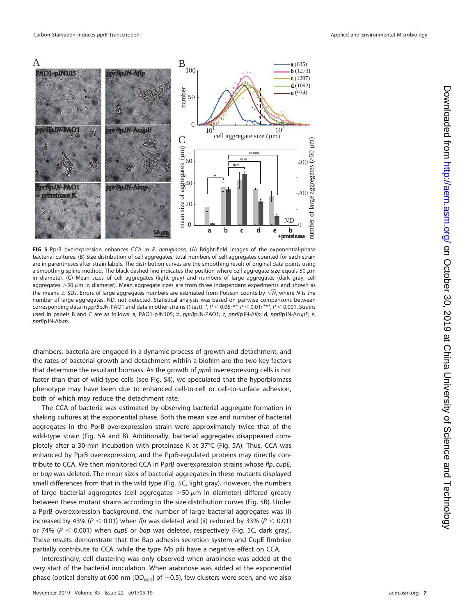

<span id="page-6-0"></span>**FIG 5** PprB overexpression enhances CCA in P. aeruginosa. (A) Bright-field images of the exponential-phase bacterial cultures. (B) Size distribution of cell aggregates; total numbers of cell aggregates counted for each strain are in parentheses after strain labels. The distribution curves are the smoothing result of original data points using a smoothing spline method. The black dashed line indicates the position where cell aggregate size equals 50  $\mu$ m in diameter. (C) Mean sizes of cell aggregates (light gray) and numbers of large aggregates (dark gray, cell aggregates  $>$  50  $\mu$ m in diameter). Mean aggregate sizes are from three independent experiments and shown as aggregates > *S*o μπι in ulameter), wean aggregate sizes are nonculture independent experiments and shown as<br>the means ± SDs. Errors of large aggregates numbers are estimated from Poisson counts by  $\sqrt{N}$ , where N is the number of large aggregates. ND, not detected. Statistical analysis was based on pairwise comparisons between corresponding data in pprBpJN-PAO1 and data in other strains (t test). *\*, P* < 0.05; *\*\*, P* < 0.01; *\*\*\*, P* < 0.001. Strains used in panels B and C are as follows: a, PAO1-pJN105; b, pprBpJN-PAO1; c, pprBpJN-Δflp; d, pprBpJN-ΔcupE; e, pprBpJN-Δbap.

chambers, bacteria are engaged in a dynamic process of growth and detachment, and the rates of bacterial growth and detachment within a biofilm are the two key factors that determine the resultant biomass. As the growth of pprB overexpressing cells is not faster than that of wild-type cells (see Fig. S4), we speculated that the hyperbiomass phenotype may have been due to enhanced cell-to-cell or cell-to-surface adhesion, both of which may reduce the detachment rate.

The CCA of bacteria was estimated by observing bacterial aggregate formation in shaking cultures at the exponential phase. Both the mean size and number of bacterial aggregates in the PprB overexpression strain were approximately twice that of the wild-type strain [\(Fig. 5A](#page-6-0) and [B\)](#page-6-0). Additionally, bacterial aggregates disappeared completely after a 30-min incubation with proteinase K at 37°C [\(Fig. 5A\)](#page-6-0). Thus, CCA was enhanced by PprB overexpression, and the PprB-regulated proteins may directly contribute to CCA. We then monitored CCA in PprB overexpression strains whose flp, cupE, or bap was deleted. The mean sizes of bacterial aggregates in these mutants displayed small differences from that in the wild type [\(Fig. 5C,](#page-6-0) light gray). However, the numbers of large bacterial aggregates (cell aggregates  $>$ 50  $\mu$ m in diameter) differed greatly between these mutant strains according to the size distribution curves [\(Fig. 5B\)](#page-6-0). Under a PprB overexpression background, the number of large bacterial aggregates was (i) increased by 43% ( $P < 0.01$ ) when flp was deleted and (ii) reduced by 33% ( $P < 0.01$ ) or 74% ( $P < 0.001$ ) when cupE or bap was deleted, respectively [\(Fig. 5C,](#page-6-0) dark gray). These results demonstrate that the Bap adhesin secretion system and CupE fimbriae partially contribute to CCA, while the type IVb pili have a negative effect on CCA.

Interestingly, cell clustering was only observed when arabinose was added at the very start of the bacterial inoculation. When arabinose was added at the exponential phase (optical density at 600 nm [OD<sub>600</sub>] of  $\sim$ 0.5), few clusters were seen, and we also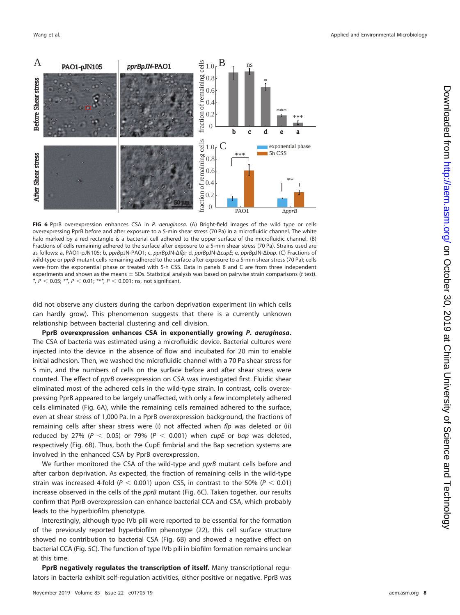

<span id="page-7-0"></span>**FIG 6** PprB overexpression enhances CSA in P. aeruginosa. (A) Bright-field images of the wild type or cells overexpressing PprB before and after exposure to a 5-min shear stress (70 Pa) in a microfluidic channel. The white halo marked by a red rectangle is a bacterial cell adhered to the upper surface of the microfluidic channel. (B) Fractions of cells remaining adhered to the surface after exposure to a 5-min shear stress (70 Pa). Strains used are as follows: a, PAO1-pJN105; b, pprBpJN-PAO1; c, pprBpJN-Δflp; d, pprBpJN-ΔcupE; e, pprBpJN-Δbap. (C) Fractions of wild-type or pprB mutant cells remaining adhered to the surface after exposure to a 5-min shear stress (70 Pa); cells were from the exponential phase or treated with 5-h CSS. Data in panels B and C are from three independent experiments and shown as the means  $\pm$  SDs. Statistical analysis was based on pairwise strain comparisons (t test). *\*, P* < 0.05; \**\*, P* < 0.01; \*\**\*, P* < 0.001; ns, not significant.

did not observe any clusters during the carbon deprivation experiment (in which cells can hardly grow). This phenomenon suggests that there is a currently unknown relationship between bacterial clustering and cell division.

**PprB overexpression enhances CSA in exponentially growing** *P. aeruginosa***.** The CSA of bacteria was estimated using a microfluidic device. Bacterial cultures were injected into the device in the absence of flow and incubated for 20 min to enable initial adhesion. Then, we washed the microfluidic channel with a 70 Pa shear stress for 5 min, and the numbers of cells on the surface before and after shear stress were counted. The effect of pprB overexpression on CSA was investigated first. Fluidic shear eliminated most of the adhered cells in the wild-type strain. In contrast, cells overexpressing PprB appeared to be largely unaffected, with only a few incompletely adhered cells eliminated [\(Fig. 6A\)](#page-7-0), while the remaining cells remained adhered to the surface, even at shear stress of 1,000 Pa. In a PprB overexpression background, the fractions of remaining cells after shear stress were (i) not affected when  $f$ p was deleted or (ii) reduced by 27% ( $P < 0.05$ ) or 79% ( $P < 0.001$ ) when cupE or bap was deleted, respectively [\(Fig. 6B\)](#page-7-0). Thus, both the CupE fimbrial and the Bap secretion systems are involved in the enhanced CSA by PprB overexpression.

We further monitored the CSA of the wild-type and pprB mutant cells before and after carbon deprivation. As expected, the fraction of remaining cells in the wild-type strain was increased 4-fold (P  $<$  0.001) upon CSS, in contrast to the 50% (P  $<$  0.01) increase observed in the cells of the pprB mutant [\(Fig. 6C\)](#page-7-0). Taken together, our results confirm that PprB overexpression can enhance bacterial CCA and CSA, which probably leads to the hyperbiofilm phenotype.

Interestingly, although type IVb pili were reported to be essential for the formation of the previously reported hyperbiofilm phenotype [\(22\)](#page-16-0), this cell surface structure showed no contribution to bacterial CSA [\(Fig. 6B\)](#page-7-0) and showed a negative effect on bacterial CCA [\(Fig. 5C\)](#page-6-0). The function of type IVb pili in biofilm formation remains unclear at this time.

**PprB negatively regulates the transcription of itself.** Many transcriptional regulators in bacteria exhibit self-regulation activities, either positive or negative. PprB was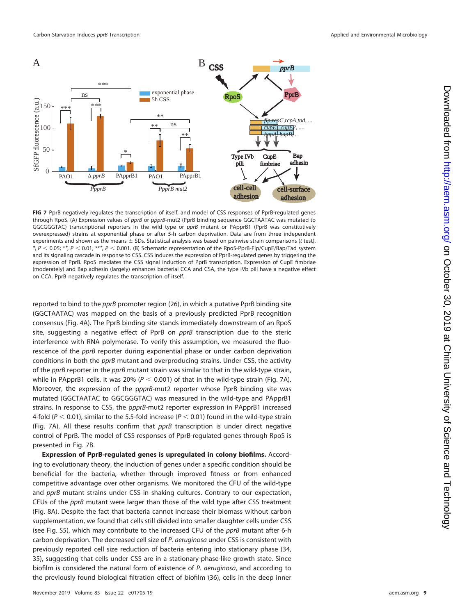

<span id="page-8-0"></span>**FIG 7** PprB negatively regulates the transcription of itself, and model of CSS responses of PprB-regulated genes through RpoS. (A) Expression values of pprB or ppprB-mut2 (PprB binding sequence GGCTAATAC was mutated to GGCGGGTAC) transcriptional reporters in the wild type or pprB mutant or PApprB1 (PprB was constitutively overexpressed) strains at exponential phase or after 5-h carbon deprivation. Data are from three independent experiments and shown as the means  $\pm$  SDs. Statistical analysis was based on pairwise strain comparisons (t test). *\**, P - 0.05; \**\**, P - 0.01; \*\**\**, P - 0.001. (B) Schematic representation of the RpoS-PprB-Flp/CupE/Bap/Tad system and its signaling cascade in response to CSS. CSS induces the expression of PprB-regulated genes by triggering the expression of PprB. RpoS mediates the CSS signal induction of PprB transcription. Expression of CupE fimbriae (moderately) and Bap adhesin (largely) enhances bacterial CCA and CSA, the type IVb pili have a negative effect on CCA. PprB negatively regulates the transcription of itself.

reported to bind to the pprB promoter region [\(26\)](#page-16-4), in which a putative PprB binding site (GGCTAATAC) was mapped on the basis of a previously predicted PprB recognition consensus [\(Fig. 4A\)](#page-5-0). The PprB binding site stands immediately downstream of an RpoS site, suggesting a negative effect of PprB on *pprB* transcription due to the steric interference with RNA polymerase. To verify this assumption, we measured the fluorescence of the pprB reporter during exponential phase or under carbon deprivation conditions in both the *pprB* mutant and overproducing strains. Under CSS, the activity of the pprB reporter in the pprB mutant strain was similar to that in the wild-type strain, while in PApprB1 cells, it was 20% ( $P < 0.001$ ) of that in the wild-type strain [\(Fig. 7A\)](#page-8-0). Moreover, the expression of the ppprB-mut2 reporter whose PprB binding site was mutated (GGCTAATAC to GGCGGGTAC) was measured in the wild-type and PApprB1 strains. In response to CSS, the ppprB-mut2 reporter expression in PApprB1 increased 4-fold ( $P < 0.01$ ), similar to the 5.5-fold increase ( $P < 0.01$ ) found in the wild-type strain [\(Fig. 7A\)](#page-8-0). All these results confirm that  $pprB$  transcription is under direct negative control of PprB. The model of CSS responses of PprB-regulated genes through RpoS is presented in [Fig. 7B.](#page-8-0)

**Expression of PprB-regulated genes is upregulated in colony biofilms.** According to evolutionary theory, the induction of genes under a specific condition should be beneficial for the bacteria, whether through improved fitness or from enhanced competitive advantage over other organisms. We monitored the CFU of the wild-type and pprB mutant strains under CSS in shaking cultures. Contrary to our expectation, CFUs of the pprB mutant were larger than those of the wild type after CSS treatment [\(Fig. 8A\)](#page-9-0). Despite the fact that bacteria cannot increase their biomass without carbon supplementation, we found that cells still divided into smaller daughter cells under CSS (see Fig. S5), which may contribute to the increased CFU of the *pprB* mutant after 6-h carbon deprivation. The decreased cell size of P. aeruginosa under CSS is consistent with previously reported cell size reduction of bacteria entering into stationary phase [\(34,](#page-16-12) [35\)](#page-16-13), suggesting that cells under CSS are in a stationary-phase-like growth state. Since biofilm is considered the natural form of existence of P. aeruginosa, and according to the previously found biological filtration effect of biofilm [\(36\)](#page-16-14), cells in the deep inner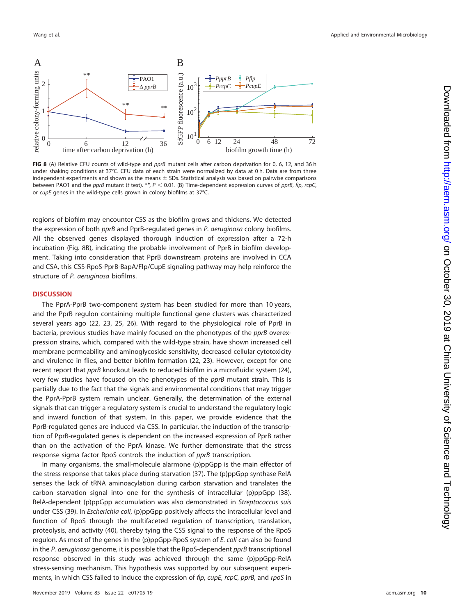

<span id="page-9-0"></span>**FIG 8** (A) Relative CFU counts of wild-type and pprB mutant cells after carbon deprivation for 0, 6, 12, and 36 h under shaking conditions at 37°C. CFU data of each strain were normalized by data at 0 h. Data are from three independent experiments and shown as the means  $\pm$  SDs. Statistical analysis was based on pairwise comparisons between PAO1 and the *pprB* mutant (t test). \*\*, P < 0.01. (B) Time-dependent expression curves of pprB, flp, rcpC, or cupE genes in the wild-type cells grown in colony biofilms at 37°C.

regions of biofilm may encounter CSS as the biofilm grows and thickens. We detected the expression of both *pprB* and PprB-regulated genes in P. aeruginosa colony biofilms. All the observed genes displayed thorough induction of expression after a 72-h incubation [\(Fig. 8B\)](#page-9-0), indicating the probable involvement of PprB in biofilm development. Taking into consideration that PprB downstream proteins are involved in CCA and CSA, this CSS-RpoS-PprB-BapA/Flp/CupE signaling pathway may help reinforce the structure of P. aeruginosa biofilms.

## **DISCUSSION**

The PprA-PprB two-component system has been studied for more than 10 years, and the PprB regulon containing multiple functional gene clusters was characterized several years ago [\(22,](#page-16-0) [23,](#page-16-1) [25,](#page-16-3) [26\)](#page-16-4). With regard to the physiological role of PprB in bacteria, previous studies have mainly focused on the phenotypes of the pprB overexpression strains, which, compared with the wild-type strain, have shown increased cell membrane permeability and aminoglycoside sensitivity, decreased cellular cytotoxicity and virulence in flies, and better biofilm formation [\(22,](#page-16-0) [23\)](#page-16-1). However, except for one recent report that pprB knockout leads to reduced biofilm in a microfluidic system [\(24\)](#page-16-2), very few studies have focused on the phenotypes of the *pprB* mutant strain. This is partially due to the fact that the signals and environmental conditions that may trigger the PprA-PprB system remain unclear. Generally, the determination of the external signals that can trigger a regulatory system is crucial to understand the regulatory logic and inward function of that system. In this paper, we provide evidence that the PprB-regulated genes are induced via CSS. In particular, the induction of the transcription of PprB-regulated genes is dependent on the increased expression of PprB rather than on the activation of the PprA kinase. We further demonstrate that the stress response sigma factor RpoS controls the induction of *pprB* transcription.

In many organisms, the small-molecule alarmone (p)ppGpp is the main effector of the stress response that takes place during starvation [\(37\)](#page-16-15). The (p)ppGpp synthase RelA senses the lack of tRNA aminoacylation during carbon starvation and translates the carbon starvation signal into one for the synthesis of intracellular (p)ppGpp [\(38\)](#page-16-16). RelA-dependent (p)ppGpp accumulation was also demonstrated in Streptococcus suis under CSS [\(39\)](#page-16-17). In *Escherichia coli*, (p)ppGpp positively affects the intracellular level and function of RpoS through the multifaceted regulation of transcription, translation, proteolysis, and activity [\(40\)](#page-16-18), thereby tying the CSS signal to the response of the RpoS regulon. As most of the genes in the (p)ppGpp-RpoS system of E. coli can also be found in the P. aeruginosa genome, it is possible that the RpoS-dependent pprB transcriptional response observed in this study was achieved through the same (p)ppGpp-RelA stress-sensing mechanism. This hypothesis was supported by our subsequent experiments, in which CSS failed to induce the expression of flp, cupE, rcpC, pprB, and rpoS in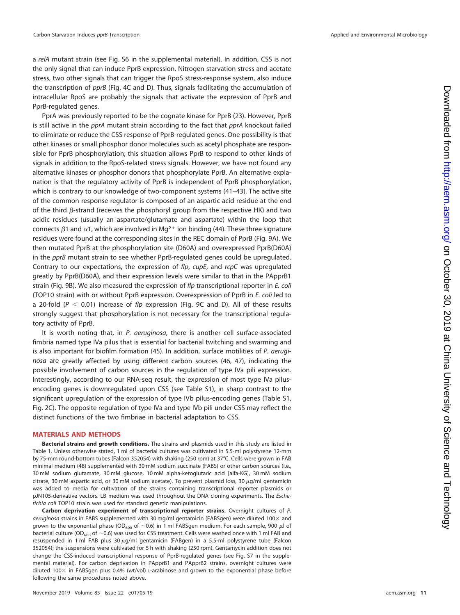a relA mutant strain (see Fig. S6 in the supplemental material). In addition, CSS is not the only signal that can induce PprB expression. Nitrogen starvation stress and acetate stress, two other signals that can trigger the RpoS stress-response system, also induce the transcription of pprB [\(Fig. 4C](#page-5-0) and [D\)](#page-5-0). Thus, signals facilitating the accumulation of intracellular RpoS are probably the signals that activate the expression of PprB and PprB-regulated genes.

PprA was previously reported to be the cognate kinase for PprB [\(23\)](#page-16-1). However, PprB is still active in the *pprA* mutant strain according to the fact that *pprA* knockout failed to eliminate or reduce the CSS response of PprB-regulated genes. One possibility is that other kinases or small phosphor donor molecules such as acetyl phosphate are responsible for PprB phosphorylation; this situation allows PprB to respond to other kinds of signals in addition to the RpoS-related stress signals. However, we have not found any alternative kinases or phosphor donors that phosphorylate PprB. An alternative explanation is that the regulatory activity of PprB is independent of PprB phosphorylation, which is contrary to our knowledge of two-component systems [\(41](#page-16-19)[–](#page-16-20)[43\)](#page-16-21). The active site of the common response regulator is composed of an aspartic acid residue at the end of the third  $\beta$ -strand (receives the phosphoryl group from the respective HK) and two acidic residues (usually an aspartate/glutamate and aspartate) within the loop that connects  $\beta$ 1 and  $\alpha$ 1, which are involved in Mg<sup>2+</sup> ion binding [\(44\)](#page-16-22). These three signature residues were found at the corresponding sites in the REC domain of PprB [\(Fig. 9A\)](#page-11-0). We then mutated PprB at the phosphorylation site (D60A) and overexpressed PprB(D60A) in the *pprB* mutant strain to see whether PprB-regulated genes could be upregulated. Contrary to our expectations, the expression of  $flp$ , cupE, and  $rcpC$  was upregulated greatly by PprB(D60A), and their expression levels were similar to that in the PApprB1 strain [\(Fig. 9B\)](#page-11-0). We also measured the expression of flp transcriptional reporter in E. coli (TOP10 strain) with or without PprB expression. Overexpression of PprB in E. coli led to a 20-fold ( $P < 0.01$ ) increase of flp expression [\(Fig. 9C](#page-11-0) and [D\)](#page-11-0). All of these results strongly suggest that phosphorylation is not necessary for the transcriptional regulatory activity of PprB.

It is worth noting that, in P. aeruginosa, there is another cell surface-associated fimbria named type IVa pilus that is essential for bacterial twitching and swarming and is also important for biofilm formation [\(45\)](#page-16-23). In addition, surface motilities of P. aeruginosa are greatly affected by using different carbon sources [\(46,](#page-16-24) [47\)](#page-16-25), indicating the possible involvement of carbon sources in the regulation of type IVa pili expression. Interestingly, according to our RNA-seq result, the expression of most type IVa pilusencoding genes is downregulated upon CSS (see Table S1), in sharp contrast to the significant upregulation of the expression of type IVb pilus-encoding genes (Table S1, [Fig. 2C\)](#page-3-0). The opposite regulation of type IVa and type IVb pili under CSS may reflect the distinct functions of the two fimbriae in bacterial adaptation to CSS.

## **MATERIALS AND METHODS**

**Bacterial strains and growth conditions.** The strains and plasmids used in this study are listed in [Table 1.](#page-12-0) Unless otherwise stated, 1 ml of bacterial cultures was cultivated in 5.5-ml polystyrene 12-mm by 75-mm round-bottom tubes (Falcon 352054) with shaking (250 rpm) at 37°C. Cells were grown in FAB minimal medium [\(48\)](#page-16-26) supplemented with 30 mM sodium succinate (FABS) or other carbon sources (i.e., 30 mM sodium glutamate, 30 mM glucose, 10 mM alpha-ketoglutaric acid [alfa-KG], 30 mM sodium citrate, 30 mM aspartic acid, or 30 mM sodium acetate). To prevent plasmid loss, 30  $\mu$ g/ml gentamicin was added to media for cultivation of the strains containing transcriptional reporter plasmids or pJN105-derivative vectors. LB medium was used throughout the DNA cloning experiments. The Escherichia coli TOP10 strain was used for standard genetic manipulations.

**Carbon deprivation experiment of transcriptional reporter strains.** Overnight cultures of P. aeruginosa strains in FABS supplemented with 30 mg/ml gentamicin (FABSgen) were diluted  $100\times$  and grown to the exponential phase (OD $_{600}$  of  ${\sim}$ 0.6) in 1 ml FABSgen medium. For each sample, 900  $\mu$ l of bacterial culture (OD<sub>600</sub> of ~0.6) was used for CSS treatment. Cells were washed once with 1 ml FAB and resuspended in 1 ml FAB plus 30 µg/ml gentamicin (FABgen) in a 5.5-ml polystyrene tube (Falcon 352054); the suspensions were cultivated for 5 h with shaking (250 rpm). Gentamycin addition does not change the CSS-induced transcriptional response of PprB-regulated genes (see Fig. S7 in the supplemental material). For carbon deprivation in PApprB1 and PApprB2 strains, overnight cultures were diluted 100 in FABSgen plus 0.4% (wt/vol) L-arabinose and grown to the exponential phase before following the same procedures noted above.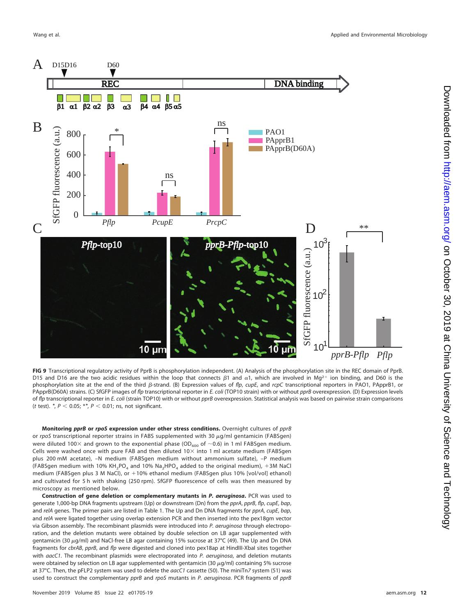

<span id="page-11-0"></span>**FIG 9** Transcriptional regulatory activity of PprB is phosphorylation independent. (A) Analysis of the phosphorylation site in the REC domain of PprB. D15 and D16 are the two acidic residues within the loop that connects  $\beta$ 1 and  $\alpha$ 1, which are involved in Mg<sup>2+</sup> ion binding, and D60 is the phosphorylation site at the end of the third  $\beta$ -strand. (B) Expression values of flp, cupE, and rcpC transcriptional reporters in PAO1, PApprB1, or PApprB(D60A) strains. (C) SfGFP images of flp transcriptional reporter in E. coli (TOP10 strain) with or without pprB overexpression. (D) Expression levels of flp transcriptional reporter in E. coli (strain TOP10) with or without pprB overexpression. Statistical analysis was based on pairwise strain comparisons  $(t \text{ test}).$   $\text{*}$ ,  $P < 0.05$ ;  $\text{*}$ ,  $P < 0.01$ ; ns, not significant.

**Monitoring** *pprB* **or** *rpoS* **expression under other stress conditions.** Overnight cultures of pprB or rpoS transcriptional reporter strains in FABS supplemented with 30  $\mu$ g/ml gentamicin (FABSgen) were diluted 100 and grown to the exponential phase (OD<sub>600</sub> of  $\sim$ 0.6) in 1 ml FABSgen medium. Cells were washed once with pure FAB and then diluted  $10\times$  into 1 ml acetate medium (FABSgen plus 200 mM acetate), –N medium (FABSgen medium without ammonium sulfate), –P medium (FABSgen medium with 10% KH<sub>2</sub>PO<sub>4</sub> and 10% Na<sub>2</sub>HPO<sub>4</sub> added to the original medium), +3M NaCl medium (FABSgen plus 3 M NaCl), or +10% ethanol medium (FABSgen plus 10% [vol/vol] ethanol) and cultivated for 5 h with shaking (250 rpm). SfGFP fluorescence of cells was then measured by microscopy as mentioned below.

**Construction of gene deletion or complementary mutants in** *P. aeruginosa***.** PCR was used to generate 1,000-bp DNA fragments upstream (Up) or downstream (Dn) from the pprA, pprB, flp, cupE, bap, and relA genes. The primer pairs are listed in [Table 1.](#page-12-0) The Up and Dn DNA fragments for pprA, cupE, bap, and relA were ligated together using overlap extension PCR and then inserted into the pex18gm vector via Gibson assembly. The recombinant plasmids were introduced into P. aeruginosa through electroporation, and the deletion mutants were obtained by double selection on LB agar supplemented with gentamicin (30  $\mu$ g/ml) and NaCl-free LB agar containing 15% sucrose at 37°C [\(49\)](#page-16-27). The Up and Dn DNA fragments for cbrAB, pprB, and flp were digested and cloned into pex18ap at HindIII-XbaI sites together with aacC1. The recombinant plasmids were electroporated into P. aeruginosa, and deletion mutants were obtained by selection on LB agar supplemented with gentamicin (30  $\mu$ g/ml) containing 5% sucrose at 37°C. Then, the pFLP2 system was used to delete the aacC1 cassette [\(50\)](#page-16-28). The miniTn7 system [\(51\)](#page-16-29) was used to construct the complementary pprB and rpoS mutants in P. aeruginosa. PCR fragments of pprB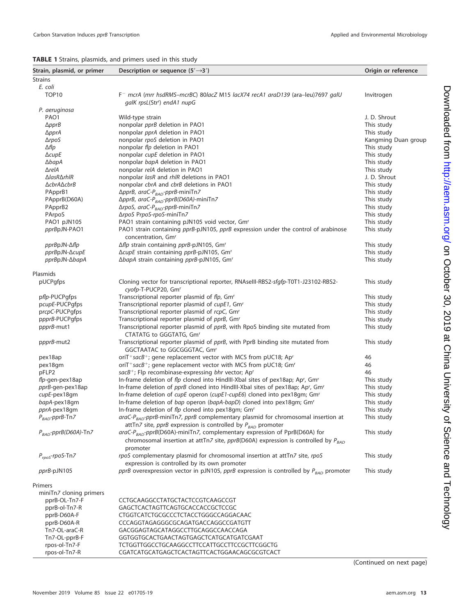# <span id="page-12-0"></span>**TABLE 1** Strains, plasmids, and primers used in this study

| Strain, plasmid, or primer               | Description or sequence $(5' \rightarrow 3')$                                                                                                                                                | Origin or reference |
|------------------------------------------|----------------------------------------------------------------------------------------------------------------------------------------------------------------------------------------------|---------------------|
| <b>Strains</b>                           |                                                                                                                                                                                              |                     |
| E. coli                                  |                                                                                                                                                                                              |                     |
| TOP <sub>10</sub>                        | F <sup>-</sup> mcrA (mrr hsdRMS-mcrBC) 80lacZ M15 lacX74 recA1 araD139 (ara-leu)7697 galU<br>galK rpsL(Str <sup>r</sup> ) endA1 nupG                                                         | Invitrogen          |
| P. aeruginosa                            |                                                                                                                                                                                              |                     |
| PAO1                                     | Wild-type strain                                                                                                                                                                             | J. D. Shrout        |
| $\Delta$ ppr $B$                         | nonpolar pprB deletion in PAO1                                                                                                                                                               | This study          |
| $\Delta$ ppr $A$                         | nonpolar <i>pprA</i> deletion in PAO1                                                                                                                                                        | This study          |
| $\Delta$ rpoS                            | nonpolar rpoS deletion in PAO1                                                                                                                                                               | Kangming Duan group |
| ∆flp                                     | nonpolar flp deletion in PAO1                                                                                                                                                                | This study          |
| $\triangle \text{cupE}$                  | nonpolar cupE deletion in PAO1                                                                                                                                                               | This study          |
| $\Delta$ bap $A$                         | nonpolar bapA deletion in PAO1                                                                                                                                                               | This study          |
| $\Delta$ rel $A$                         | nonpolar relA deletion in PAO1                                                                                                                                                               | This study          |
| $\Delta$ lasR $\Delta$ rhlR              | nonpolar lasR and rhlR deletions in PAO1                                                                                                                                                     | J. D. Shrout        |
| ∆cbrA∆cbrB                               | nonpolar <i>cbrA</i> and <i>cbrB</i> deletions in PAO1                                                                                                                                       | This study          |
| PApprB1                                  | ΔpprB, araC-P <sub>BAD</sub> -pprB-miniTn7                                                                                                                                                   | This study          |
| PApprB(D60A)                             | ΔpprB, araC-P <sub>BAD</sub> -pprB(D60A)-miniTn7                                                                                                                                             | This study          |
| PApprB2                                  | ΔrpoS, araC-P <sub>BAD</sub> -pprB-miniTn7                                                                                                                                                   | This study          |
| PArpoS                                   | ΔrpoS PrpoS-rpoS-miniTn7                                                                                                                                                                     | This study          |
| PAO1 pJN105                              | PAO1 strain containing pJN105 void vector, Gm <sup>r</sup>                                                                                                                                   | This study          |
| pprBpJN-PAO1                             | PAO1 strain containing pprB-pJN105, pprB expression under the control of arabinose                                                                                                           | This study          |
|                                          | concentration, Gm <sup>r</sup>                                                                                                                                                               |                     |
| $pprBpJN-\Delta flp$                     | Δflp strain containing pprB-pJN105, Gm <sup>r</sup>                                                                                                                                          | This study          |
| pprBpJN-∆cupE                            | ΔcupE strain containing pprB-pJN105, Gm <sup>r</sup>                                                                                                                                         | This study          |
| pprBpJN-∆bapA                            | ΔbapA strain containing pprB-pJN105, Gm <sup>r</sup>                                                                                                                                         | This study          |
| Plasmids                                 |                                                                                                                                                                                              |                     |
| pUCPgfps                                 | Cloning vector for transcriptional reporter, RNAselll-RBS2-sfgfp-T0T1-J23102-RBS2-                                                                                                           | This study          |
|                                          | cyofp-T-PUCP20, Gmr                                                                                                                                                                          |                     |
| pflp-PUCPgfps                            | Transcriptional reporter plasmid of flp, Gm <sup>r</sup>                                                                                                                                     | This study          |
| pcupE-PUCPqfps                           | Transcriptional reporter plasmid of cupE1, Gm <sup>r</sup>                                                                                                                                   | This study          |
| prcpC-PUCPqfps                           | Transcriptional reporter plasmid of rcpC, Gm <sup>r</sup>                                                                                                                                    | This study          |
| ppprB-PUCPgfps                           | Transcriptional reporter plasmid of pprB, Gmr                                                                                                                                                | This study          |
| ppprB-mut1                               | Transcriptional reporter plasmid of pprB, with RpoS binding site mutated from<br>CTATATG to GGGTATG, Gmr                                                                                     | This study          |
| ppprB-mut2                               | Transcriptional reporter plasmid of pprB, with PprB binding site mutated from<br>GGCTAATAC to GGCGGGTAC, Gmr                                                                                 | This study          |
| pex18ap                                  | oriT <sup>+</sup> sacB <sup>+</sup> ; gene replacement vector with MCS from pUC18; Ap <sup>r</sup>                                                                                           | 46                  |
| pex18gm                                  | oriT <sup>+</sup> sacB <sup>+</sup> ; gene replacement vector with MCS from pUC18; Gm <sup>r</sup>                                                                                           | 46                  |
| pFLP2                                    | sacB <sup>+</sup> ; Flp recombinase-expressing bhr vector; Ap <sup>r</sup>                                                                                                                   | 46                  |
| flp-gen-pex18ap                          | In-frame deletion of flp cloned into HindIII-Xbal sites of pex18ap; Ap <sup>r</sup> , Gm <sup>r</sup>                                                                                        | This study          |
| pprB-gen-pex18ap                         | In-frame deletion of pprB cloned into HindIII-Xbal sites of pex18ap; Ap <sup>r</sup> , Gm <sup>r</sup>                                                                                       | This study          |
| cupE-pex18gm                             | In-frame deletion of cupE operon (cupE1-cupE6) cloned into pex18gm; Gm <sup>r</sup>                                                                                                          | This study          |
| bapA-pex18gm                             | In-frame deletion of bap operon (bapA-bapD) cloned into pex18qm; Gm <sup>r</sup>                                                                                                             | This study          |
| pprA-pex18gm                             | In-frame deletion of flp cloned into pex18qm; Gm <sup>r</sup>                                                                                                                                | This study          |
| $P_{BAD}$ -ppr $B$ -Tn $Z$               | araC-P <sub>BAD</sub> -pprB-miniTn7, pprB complementary plasmid for chromosomal insertion at                                                                                                 | This study          |
|                                          | attTn7 site, pprB expression is controlled by $P_{BAD}$ promoter                                                                                                                             |                     |
| $P_{BAD}$ -pprB(D60A)-Tn7                | $\textit{araC-P}_{\textit{BAD}}$ -pprB(D60A)-miniTn7, complementary expression of PprB(D60A) for<br>chromosomal insertion at attTn7 site, $pprB(D60A)$ expression is controlled by $P_{BAD}$ | This study          |
| $P_{rpoS}$ -rpoS-Tn7                     | promoter<br>rpoS complementary plasmid for chromosomal insertion at attTn7 site, rpoS                                                                                                        | This study          |
| pprB-pJN105                              | expression is controlled by its own promoter<br>pprB overexpression vector in pJN105, pprB expression is controlled by $P_{BAD}$ promoter                                                    | This study          |
| Primers                                  |                                                                                                                                                                                              |                     |
|                                          |                                                                                                                                                                                              |                     |
| miniTn7 cloning primers<br>pprB-OL-Tn7-F | CCTGCAAGGCCTATGCTACTCCGTCAAGCCGT                                                                                                                                                             |                     |
| pprB-ol-Tn7-R                            | GAGCTCACTAGTTCAGTGCACCACCGCTCCGC                                                                                                                                                             |                     |
| pprB-D60A-F                              | CTGGTCATCTGCGCCCTCTACCTGGGCCAGGACAAC                                                                                                                                                         |                     |
| pprB-D60A-R                              | CCCAGGTAGAGGGCGCAGATGACCAGGCCGATGTT                                                                                                                                                          |                     |
| Tn7-OL-araC-R                            | GACGGAGTAGCATAGGCCTTGCAGGCCAACCAGA                                                                                                                                                           |                     |
| Tn7-OL-pprB-F                            | GGTGGTGCACTGAACTAGTGAGCTCATGCATGATCGAAT                                                                                                                                                      |                     |
| rpos-ol-Tn7-F                            | TCTGGTTGGCCTGCAAGGCCTTCCATTGCCTTCCGCTTCGGCTG                                                                                                                                                 |                     |
| rpos-ol-Tn7-R                            | CGATCATGCATGAGCTCACTAGTTCACTGGAACAGCGCGTCACT                                                                                                                                                 |                     |
|                                          |                                                                                                                                                                                              |                     |

(Continued on next page)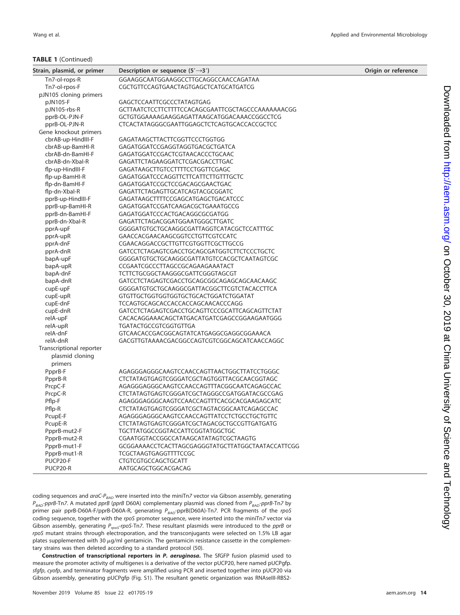## **TABLE 1** (Continued)

| Strain, plasmid, or primer | Description or sequence $(5' \rightarrow 3')$     | Origin or reference |
|----------------------------|---------------------------------------------------|---------------------|
| Tn7-ol-rops-R              | GGAAGGCAATGGAAGGCCTTGCAGGCCAACCAGATAA             |                     |
| Tn7-ol-rpos-F              | CGCTGTTCCAGTGAACTAGTGAGCTCATGCATGATCG             |                     |
| pJN105 cloning primers     |                                                   |                     |
| pJN105-F                   | GAGCTCCAATTCGCCCTATAGTGAG                         |                     |
| pJN105-rbs-R               | GCTTAATCTCCTTCTTTTCCACAGCGAATTCGCTAGCCCAAAAAAACGG |                     |
| pprB-OL-PJN-F              | GCTGTGGAAAAGAAGGAGATTAAGCATGGACAAACCGGCCTCG       |                     |
| pprB-OL-PJN-R              | CTCACTATAGGGCGAATTGGAGCTCTCAGTGCACCACCGCTCC       |                     |
| Gene knockout primers      |                                                   |                     |
| cbrAB-up-HindIII-F         | GAGATAAGCTTACTTCGGTTCCCTGGTGG                     |                     |
| cbrAB-up-BamHI-R           | GAGATGGATCCGAGGTAGGTGACGCTGATCA                   |                     |
| cbrAB-dn-BamHI-F           | GAGATGGATCCGACTCGTAACACCCTGCAAC                   |                     |
| cbrAB-dn-Xbal-R            | GAGATTCTAGAAGGATCTCGACGACCTTGAC                   |                     |
| flp-up-HindIII-F           | GAGATAAGCTTGTCCTTTTCCTGGTTCGAGC                   |                     |
| flp-up-BamHI-R             | GAGATGGATCCCAGGTTCTTCATTCTTGTTTGCTC               |                     |
| flp-dn-BamHI-F             | GAGATGGATCCGCTCCGACAGCGAACTGAC                    |                     |
| flp-dn-Xbal-R              | GAGATTCTAGAGTTGCATCAGTACGCGGATC                   |                     |
| pprB-up-HindIII-F          | GAGATAAGCTTTTCCGAGCATGAGCTGACATCCC                |                     |
| pprB-up-BamHI-R            | GAGATGGATCCGATCAAGACGCTGAAATGCCG                  |                     |
| pprB-dn-BamHI-F            | GAGATGGATCCCACTGACAGGCGCGATGG                     |                     |
| pprB-dn-Xbal-R             | GAGATTCTAGACGGATGGAATGGGCTTGATC                   |                     |
| pprA-upF                   | GGGGATGTGCTGCAAGGCGATTAGGTCATACGCTCCATTTGC        |                     |
| pprA-upR                   | GAACCACGAACAAGCGGTCCTGTTCGTCCATC                  |                     |
| pprA-dnF                   | CGAACAGGACCGCTTGTTCGTGGTTCGCTTGCCG                |                     |
| pprA-dnR                   | GATCCTCTAGAGTCGACCTGCAGCGATGGTCTTCTCCCTGCTC       |                     |
| bapA-upF                   | GGGGATGTGCTGCAAGGCGATTATGTCCACGCTCAATAGTCGC       |                     |
| bapA-upR                   | CCGAATCGCCCTTAGCCGCAGAAGAAATACT                   |                     |
| bapA-dnF                   | TCTTCTGCGGCTAAGGGCGATTCGGGTAGCGT                  |                     |
| bapA-dnR                   | GATCCTCTAGAGTCGACCTGCAGCGGCAGAGCAGCAACAAGC        |                     |
| cupE-upF                   | GGGGATGTGCTGCAAGGCGATTACGGCTTCGTCTACACCTTCA       |                     |
| cupE-upR                   | GTGTTGCTGGTGGTGGTGCTGCACTGGATCTGGATAT             |                     |
| cupE-dnF                   | TCCAGTGCAGCACCACCACCAGCAACACCCAGG                 |                     |
| cupE-dnR                   | GATCCTCTAGAGTCGACCTGCAGTTCCCGCATTCAGCAGTTCTAT     |                     |
| relA-upF                   | CACACAGGAAACAGCTATGACATGATCGAGCCGGAAGAATGGG       |                     |
| relA-upR                   | <b>TGATACTGCCGTCGGTGTTGA</b>                      |                     |
| relA-dnF                   | GTCAACACCGACGGCAGTATCATGAGGCGAGGCGGAAACA          |                     |
| relA-dnR                   | GACGTTGTAAAACGACGGCCAGTCGTCGGCAGCATCAACCAGGC      |                     |
| Transcriptional reporter   |                                                   |                     |
| plasmid cloning            |                                                   |                     |
| primers                    |                                                   |                     |
| PpprB-F                    | AGAGGGAGGCAAGTCCAACCAGTTAACTGGCTTATCCTGGGC        |                     |
| PpprB-R                    | CTCTATAGTGAGTCGGGATCGCTAGTGGTTACGCAACGGTAGC       |                     |
| PrcpC-F                    | AGAGGGAGGCAAGTCCAACCAGTTTACGGCAATCAGAGCCAC        |                     |
| PrcpC-R                    | CTCTATAGTGAGTCGGGATCGCTAGGGCCGATGGATACGCCGAG      |                     |
| Pflp-F                     | AGAGGGAGGCAAGTCCAACCAGTTTCACGCACGAAGAGCATC        |                     |
| Pflp-R                     | CTCTATAGTGAGTCGGGATCGCTAGTACGGCAATCAGAGCCAC       |                     |
| PcupE-F                    | AGAGGGAGGCAAGTCCAACCAGTTATCCTCTGCCTGCTGTTC        |                     |
| PcupE-R                    | CTCTATAGTGAGTCGGGATCGCTAGACGCTGCCGTTGATGATG       |                     |
| PpprB-mut2-F               | <b>TGCTTATGGCCGGTACCATTCGGTATGGCTGC</b>           |                     |
| PpprB-mut2-R               | CGAATGGTACCGGCCATAAGCATATAGTCGCTAAGTG             |                     |
| PpprB-mut1-F               | GCGGAAAACCTCACTTAGCGAGGGTATGCTTATGGCTAATACCATTCGG |                     |
| PpprB-mut1-R               | TCGCTAAGTGAGGTTTTCCGC                             |                     |
| PUCP20-F                   | <b>CTGTCGTGCCAGCTGCATT</b>                        |                     |
| PUCP20-R                   | AATGCAGCTGGCACGACAG                               |                     |

coding sequences and araC- $P_{BAD}$  were inserted into the miniTn7 vector via Gibson assembly, generating  $P_{BAD}$ -pprB-Tn7. A mutated pprB (pprB D60A) complementary plasmid was cloned from  $P_{BAD}$ -pprB-Tn7 by primer pair pprB-D60A-F/pprB-D60A-R, generating  $P_{BAD}$ -pprB(D60A)-Tn7. PCR fragments of the rpoS coding sequence, together with the rpoS promoter sequence, were inserted into the miniTn7 vector via Gibson assembly, generating  $P_{\text{pos}}$ -rpoS-Tn7. These resultant plasmids were introduced to the pprB or rpoS mutant strains through electroporation, and the transconjugants were selected on 1.5% LB agar plates supplemented with 30  $\mu$ g/ml gentamicin. The gentamicin resistance cassette in the complementary strains was then deleted according to a standard protocol [\(50\)](#page-16-28).

**Construction of transcriptional reporters in** *P. aeruginosa***.** The SfGFP fusion plasmid used to measure the promoter activity of multigenes is a derivative of the vector pUCP20, here named pUCPgfp. sfgfp, cyofp, and terminator fragments were amplified using PCR and inserted together into pUCP20 via Gibson assembly, generating pUCPgfp (Fig. S1). The resultant genetic organization was RNAseIII-RBS2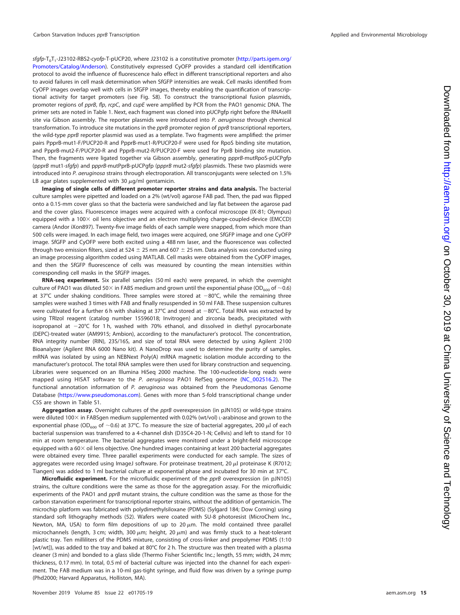sfgfp-T<sub>0</sub>T<sub>1</sub>-J23102-RBS2-cyofp-T-pUCP20, where J23102 is a constitutive promoter [\(http://parts.igem.org/](http://parts.igem.org/Promoters/Catalog/Anderson) [Promoters/Catalog/Anderson\)](http://parts.igem.org/Promoters/Catalog/Anderson). Constitutively expressed CyOFP provides a standard cell identification protocol to avoid the influence of fluorescence halo effect in different transcriptional reporters and also to avoid failures in cell mask determination when SfGFP intensities are weak. Cell masks identified from CyOFP images overlap well with cells in SfGFP images, thereby enabling the quantification of transcriptional activity for target promoters (see Fig. S8). To construct the transcriptional fusion plasmids, promoter regions of pprB, flp, rcpC, and cupE were amplified by PCR from the PAO1 genomic DNA. The primer sets are noted in [Table 1.](#page-12-0) Next, each fragment was cloned into pUCPgfp right before the RNAseIII site via Gibson assembly. The reporter plasmids were introduced into P. *aeruginosa* through chemical transformation. To introduce site mutations in the *pprB* promoter region of *pprB* transcriptional reporters, the wild-type pprB reporter plasmid was used as a template. Two fragments were amplified: the primer pairs PpprB-mut1-F/PUCP20-R and PpprB-mut1-R/PUCP20-F were used for RpoS binding site mutation, and PpprB-mut2-F/PUCP20-R and PpprB-mut2-R/PUCP20-F were used for PprB binding site mutation. Then, the fragments were ligated together via Gibson assembly, generating ppprB-mutRpoS-pUCPgfp (ppprB mut1-sfgfp) and ppprB-mutPprB-pUCPgfp (ppprB mut2-sfgfp) plasmids. These two plasmids were introduced into P. aeruginosa strains through electroporation. All transconjugants were selected on 1.5% LB agar plates supplemented with 30  $\mu$ g/ml gentamicin.

**Imaging of single cells of different promoter reporter strains and data analysis.** The bacterial culture samples were pipetted and loaded on a 2% (wt/vol) agarose FAB pad. Then, the pad was flipped onto a 0.15-mm cover glass so that the bacteria were sandwiched and lay flat between the agarose pad and the cover glass. Fluorescence images were acquired with a confocal microscope (IX-81; Olympus) equipped with a 100 x oil lens objective and an electron multiplying charge-coupled-device (EMCCD) camera (Andor iXon897). Twenty-five image fields of each sample were snapped, from which more than 500 cells were imaged. In each image field, two images were acquired, one SfGFP image and one CyOFP image. SfGFP and CyOFP were both excited using a 488 nm laser, and the fluorescence was collected through two emission filters, sized at 524  $\pm$  25 nm and 607  $\pm$  25 nm. Data analysis was conducted using an image processing algorithm coded using MATLAB. Cell masks were obtained from the CyOFP images, and then the SfGFP fluorescence of cells was measured by counting the mean intensities within corresponding cell masks in the SfGFP images.

**RNA-seq experiment.** Six parallel samples (50 ml each) were prepared, in which the overnight culture of PAO1 was diluted 50  $\times$  in FABS medium and grown until the exponential phase (OD<sub>600</sub> of  $\sim$  0.6) at 37°C under shaking conditions. Three samples were stored at  $-80^{\circ}$ C, while the remaining three samples were washed 3 times with FAB and finally resuspended in 50 ml FAB. These suspension cultures were cultivated for a further 6 h with shaking at  $37^{\circ}$ C and stored at  $-80^{\circ}$ C. Total RNA was extracted by using TRIzol reagent (catalog number 15596018; Invitrogen) and zirconia beads, precipitated with isopropanol at  $-20^{\circ}$ C for 1 h, washed with 70% ethanol, and dissolved in diethyl pyrocarbonate (DEPC)-treated water (AM9915; Ambion), according to the manufacturer's protocol. The concentration, RNA integrity number (RIN), 23S/16S, and size of total RNA were detected by using Agilent 2100 Bioanalyzer (Agilent RNA 6000 Nano kit). A NanoDrop was used to determine the purity of samples. mRNA was isolated by using an NEBNext Poly(A) mRNA magnetic isolation module according to the manufacturer's protocol. The total RNA samples were then used for library construction and sequencing. Libraries were sequenced on an Illumina HiSeq 2000 machine. The 100-nucleotide-long reads were mapped using HISAT software to the P. aeruginosa PAO1 RefSeq genome [\(NC\\_002516.2\)](https://www.ncbi.nlm.nih.gov/nuccore/NC_002516.2). The functional annotation information of P. aeruginosa was obtained from the Pseudomonas Genome Database [\(https://www.pseudomonas.com\)](https://www.pseudomonas.com). Genes with more than 5-fold transcriptional change under CSS are shown in Table S1.

Aggregation assay. Overnight cultures of the pprB overexpression (in pJN105) or wild-type strains were diluted 100 $\times$  in FABSgen medium supplemented with 0.02% (wt/vol) L-arabinose and grown to the exponential phase (OD<sub>600</sub> of  $\sim$ 0.6) at 37°C. To measure the size of bacterial aggregates, 200  $\mu$ l of each bacterial suspension was transferred to a 4-channel dish (D35C4-20-1-N; Cellvis) and left to stand for 10 min at room temperature. The bacterial aggregates were monitored under a bright-field microscope equipped with a  $60 \times$  oil lens objective. One hundred images containing at least 200 bacterial aggregates were obtained every time. Three parallel experiments were conducted for each sample. The sizes of aggregates were recorded using ImageJ software. For proteinase treatment, 20  $\mu$ l proteinase K (R7012; Tiangen) was added to 1 ml bacterial culture at exponential phase and incubated for 30 min at 37°C.

**Microfluidic experiment.** For the microfluidic experiment of the pprB overexpression (in pJN105) strains, the culture conditions were the same as those for the aggregation assay. For the microfluidic experiments of the PAO1 and *pprB* mutant strains, the culture condition was the same as those for the carbon starvation experiment for transcriptional reporter strains, without the addition of gentamicin. The microchip platform was fabricated with polydimethylsiloxane (PDMS) (Sylgard 184; Dow Corning) using standard soft lithography methods [\(52\)](#page-16-30). Wafers were coated with SU-8 photoresist (MicroChem Inc., Newton, MA, USA) to form film depositions of up to 20  $\mu$ m. The mold contained three parallel microchannels (length, 3 cm; width, 300  $\mu$ m; height, 20  $\mu$ m) and was firmly stuck to a heat-tolerant plastic tray. Ten milliliters of the PDMS mixture, consisting of cross-linker and prepolymer PDMS (1:10 [wt/wt]), was added to the tray and baked at 80°C for 2 h. The structure was then treated with a plasma cleaner (3 min) and bonded to a glass slide (Thermo Fisher Scientific Inc.; length, 55 mm; width, 24 mm; thickness, 0.17 mm). In total, 0.5 ml of bacterial culture was injected into the channel for each experiment. The FAB medium was in a 10-ml gas-tight syringe, and fluid flow was driven by a syringe pump (Phd2000; Harvard Apparatus, Holliston, MA).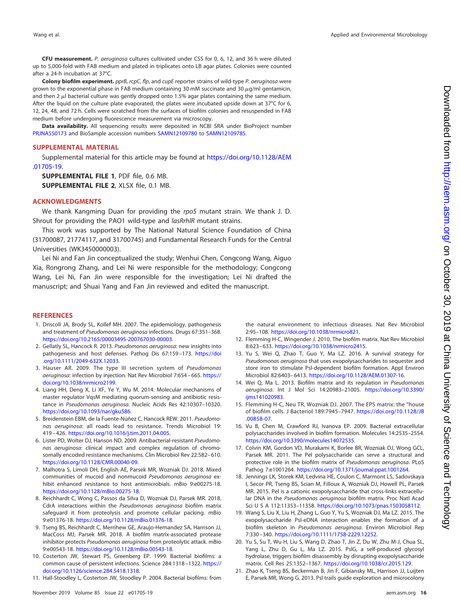**CFU measurement.** P. aeruginosa cultures cultivated under CSS for 0, 6, 12, and 36 h were diluted up to 5,000-fold with FAB medium and plated in triplicates onto LB agar plates. Colonies were counted after a 24-h incubation at 37°C.

**Colony biofilm experiment.** pprB, rcpC, flp, and cupE reporter strains of wild-type P. aeruginosa were grown to the exponential phase in FAB medium containing 30 mM succinate and 30  $\mu$ g/ml gentamicin, and then 2  $\mu$ l bacterial culture was gently dropped onto 1.5% agar plates containing the same medium. After the liquid on the culture plate evaporated, the plates were incubated upside down at 37°C for 6, 12, 24, 48, and 72 h. Cells were scratched from the surfaces of biofilm colonies and resuspended in FAB medium before undergoing fluorescence measurement via microscopy.

**Data availability.** All sequencing results were deposited in NCBI SRA under BioProject number [PRJNA550173](https://www.ncbi.nlm.nih.gov/bioproject/?term=PRJNA550173) and BioSample accession numbers [SAMN12109780](https://www.ncbi.nlm.nih.gov/biosample/SAMN12109780) to [SAMN12109785.](https://www.ncbi.nlm.nih.gov/biosample/SAMN12109785)

## **SUPPLEMENTAL MATERIAL**

Supplemental material for this article may be found at [https://doi.org/10.1128/AEM](https://doi.org/10.1128/AEM.01705-19) [.01705-19.](https://doi.org/10.1128/AEM.01705-19)

**SUPPLEMENTAL FILE 1**, PDF file, 0.6 MB. **SUPPLEMENTAL FILE 2**, XLSX file, 0.1 MB.

## **ACKNOWLEDGMENTS**

We thank Kangming Duan for providing the rpoS mutant strain. We thank J. D. Shrout for providing the PAO1 wild-type and *lasRrhlR* mutant strains.

This work was supported by The National Natural Science Foundation of China (31700087, 21774117, and 31700745) and Fundamental Research Funds for the Central Universities (WK3450000003).

Lei Ni and Fan Jin conceptualized the study; Wenhui Chen, Congcong Wang, Aiguo Xia, Rongrong Zhang, and Lei Ni were responsible for the methodology; Congcong Wang, Lei Ni, Fan Jin were responsible for the investigation; Lei Ni drafted the manuscript; and Shuai Yang and Fan Jin reviewed and edited the manuscript.

#### <span id="page-15-0"></span>**REFERENCES**

- 1. Driscoll JA, Brody SL, Kollef MH. 2007. The epidemiology, pathogenesis and treatment of Pseudomonas aeruginosa infections. Drugs 67:351–368. [https://doi.org/10.2165/00003495-200767030-00003.](https://doi.org/10.2165/00003495-200767030-00003)
- <span id="page-15-1"></span>2. Gellatly SL, Hancock R. 2013. Pseudomonas aeruginosa: new insights into pathogenesis and host defenses. Pathog Dis 67:159-173. [https://doi](https://doi.org/10.1111/2049-632X.12033) [.org/10.1111/2049-632X.12033.](https://doi.org/10.1111/2049-632X.12033)
- <span id="page-15-2"></span>3. Hauser AR. 2009. The type III secretion system of Pseudomonas aeruginosa: infection by injection. Nat Rev Microbiol 7:654-665. [https://](https://doi.org/10.1038/nrmicro2199) [doi.org/10.1038/nrmicro2199.](https://doi.org/10.1038/nrmicro2199)
- <span id="page-15-3"></span>4. Liang HH, Deng X, Li XF, Ye Y, Wu M. 2014. Molecular mechanisms of master regulator VqsM mediating quorum-sensing and antibiotic resistance in Pseudomonas aeruginosa. Nucleic Acids Res 42:10307–10320. [https://doi.org/10.1093/nar/gku586.](https://doi.org/10.1093/nar/gku586)
- 5. Breidenstein EBM, de la Fuente-Núñez C, Hancock REW. 2011. Pseudomonas aeruginosa: all roads lead to resistance. Trends Microbiol 19: 419 – 426. [https://doi.org/10.1016/j.tim.2011.04.005.](https://doi.org/10.1016/j.tim.2011.04.005)
- 6. Lister PD, Wolter DJ, Hanson ND. 2009. Antibacterial-resistant Pseudomonas aeruginosa: clinical impact and complex regulation of chromosomally encoded resistance mechanisms. Clin Microbiol Rev 22:582– 610. [https://doi.org/10.1128/CMR.00040-09.](https://doi.org/10.1128/CMR.00040-09)
- 7. Malhotra S, Limoli DH, English AE, Parsek MR, Wozniak DJ. 2018. Mixed communities of mucoid and nonmucoid Pseudomonas aeruginosa exhibit enhanced resistance to host antimicrobials. mBio 9:e00275-18. [https://doi.org/10.1128/mBio.00275-18.](https://doi.org/10.1128/mBio.00275-18)
- 8. Reichhardt C, Wong C, Passos da Silva D, Wozniak DJ, Parsek MR. 2018. CdrA interactions within the Pseudomonas aeruginosa biofilm matrix safeguard it from proteolysis and promote cellular packing. mBio 9:e01376-18. [https://doi.org/10.1128/mBio.01376-18.](https://doi.org/10.1128/mBio.01376-18)
- 9. Tseng BS, Reichhardt C, Merrihew GE, Araujo-Hernandez SA, Harrison JJ, MacCoss MJ, Parsek MR. 2018. A biofilm matrix-associated protease inhibitor protects Pseudomonas aeruginosa from proteolytic attack. mBio 9:e00543-18. [https://doi.org/10.1128/mBio.00543-18.](https://doi.org/10.1128/mBio.00543-18)
- <span id="page-15-5"></span><span id="page-15-4"></span>10. Costerton JW, Stewart PS, Greenberg EP. 1999. Bacterial biofilms: a common cause of persistent infections. Science 284:1318 –1322. [https://](https://doi.org/10.1126/science.284.5418.1318) [doi.org/10.1126/science.284.5418.1318.](https://doi.org/10.1126/science.284.5418.1318)
- 11. Hall-Stoodley L, Costerton JW, Stoodley P. 2004. Bacterial biofilms: from

the natural environment to infectious diseases. Nat Rev Microbiol 2:95–108. [https://doi.org/10.1038/nrmicro821.](https://doi.org/10.1038/nrmicro821)

- <span id="page-15-6"></span>12. Flemming H-C, Wingender J. 2010. The biofilm matrix. Nat Rev Microbiol 8:623– 633. [https://doi.org/10.1038/nrmicro2415.](https://doi.org/10.1038/nrmicro2415)
- 13. Yu S, Wei Q, Zhao T, Guo Y, Ma LZ. 2016. A survival strategy for Pseudomonas aeruginosa that uses exopolysaccharides to sequester and store iron to stimulate Psl-dependent biofilm formation. Appl Environ Microbiol 82:6403– 6413. [https://doi.org/10.1128/AEM.01307-16.](https://doi.org/10.1128/AEM.01307-16)
- 14. Wei Q, Ma L. 2013. Biofilm matrix and its regulation in Pseudomonas aeruginosa. Int J Mol Sci 14:20983–21005. [https://doi.org/10.3390/](https://doi.org/10.3390/ijms141020983) [ijms141020983.](https://doi.org/10.3390/ijms141020983)
- <span id="page-15-8"></span><span id="page-15-7"></span>15. Flemming H-C, Neu TR, Wozniak DJ. 2007. The EPS matrix: the "house of biofilm cells. J Bacteriol 189:7945–7947. [https://doi.org/10.1128/JB](https://doi.org/10.1128/JB.00858-07) [.00858-07.](https://doi.org/10.1128/JB.00858-07)
- <span id="page-15-9"></span>16. Vu B, Chen M, Crawford RJ, Ivanova EP. 2009. Bacterial extracellular polysaccharides involved in biofilm formation. Molecules 14:2535–2554. [https://doi.org/10.3390/molecules14072535.](https://doi.org/10.3390/molecules14072535)
- 17. Colvin KM, Gordon VD, Murakami K, Borlee BR, Wozniak DJ, Wong GCL, Parsek MR. 2011. The Pel polysaccharide can serve a structural and protective role in the biofilm matrix of Pseudomonas aeruginosa. PLoS Pathog 7:e1001264. [https://doi.org/10.1371/journal.ppat.1001264.](https://doi.org/10.1371/journal.ppat.1001264)
- 18. Jennings LK, Storek KM, Ledvina HE, Coulon C, Marmont LS, Sadovskaya I, Secor PR, Tseng BS, Scian M, Filloux A, Wozniak DJ, Howell PL, Parsek MR. 2015. Pel is a cationic exopolysaccharide that cross-links extracellular DNA in the Pseudomonas aeruginosa biofilm matrix. Proc Natl Acad Sci U S A 112:11353–11358. [https://doi.org/10.1073/pnas.1503058112.](https://doi.org/10.1073/pnas.1503058112)
- 19. Wang S, Liu X, Liu H, Zhang L, Guo Y, Yu S, Wozniak DJ, Ma LZ. 2015. The exopolysaccharide Psl-eDNA interaction enables the formation of a biofilm skeleton in Pseudomonas aeruginosa. Environ Microbiol Rep 7:330 –340. [https://doi.org/10.1111/1758-2229.12252.](https://doi.org/10.1111/1758-2229.12252)
- <span id="page-15-10"></span>20. Yu S, Su T, Wu H, Liu S, Wang D, Zhao T, Jin Z, Du W, Zhu M-J, Chua SL, Yang L, Zhu D, Gu L, Ma LZ. 2015. PslG, a self-produced glycosyl hydrolase, triggers biofilm disassembly by disrupting exopolysaccharide matrix. Cell Res 25:1352–1367. [https://doi.org/10.1038/cr.2015.129.](https://doi.org/10.1038/cr.2015.129)
- <span id="page-15-11"></span>21. Zhao K, Tseng BS, Beckerman B, Jin F, Gibiansky ML, Harrison JJ, Luijten E, Parsek MR, Wong G. 2013. Psl trails guide exploration and microcolony